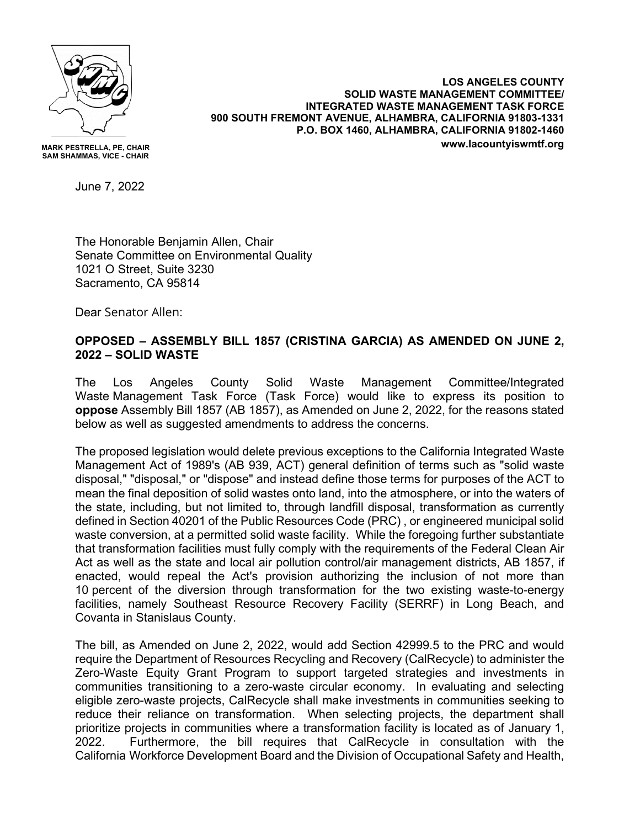

**MARK PESTRELLA, PE, CHAIR SAM SHAMMAS, VICE - CHAIR**

**LOS ANGELES COUNTY SOLID WASTE MANAGEMENT COMMITTEE/ INTEGRATED WASTE MANAGEMENT TASK FORCE 900 SOUTH FREMONT AVENUE, ALHAMBRA, CALIFORNIA 91803-1331 P.O. BOX 1460, ALHAMBRA, CALIFORNIA 91802-1460 www.lacountyiswmtf.org**

June 7, 2022

The Honorable Benjamin Allen, Chair Senate Committee on Environmental Quality 1021 O Street, Suite 3230 Sacramento, CA 95814

Dear Senator Allen:

## **OPPOSED – ASSEMBLY BILL 1857 (CRISTINA GARCIA) AS AMENDED ON JUNE 2, 2022 – SOLID WASTE**

The Los Angeles County Solid Waste Management Committee/Integrated Waste Management Task Force (Task Force) would like to express its position to **oppose** Assembly Bill 1857 (AB 1857), as Amended on June 2, 2022, for the reasons stated below as well as suggested amendments to address the concerns.

The proposed legislation would delete previous exceptions to the California Integrated Waste Management Act of 1989's (AB 939, ACT) general definition of terms such as "solid waste disposal," "disposal," or "dispose" and instead define those terms for purposes of the ACT to mean the final deposition of solid wastes onto land, into the atmosphere, or into the waters of the state, including, but not limited to, through landfill disposal, transformation as currently defined in Section 40201 of the Public Resources Code (PRC) , or engineered municipal solid waste conversion, at a permitted solid waste facility. While the foregoing further substantiate that transformation facilities must fully comply with the requirements of the Federal Clean Air Act as well as the state and local air pollution control/air management districts, AB 1857, if enacted, would repeal the Act's provision authorizing the inclusion of not more than 10 percent of the diversion through transformation for the two existing waste-to-energy facilities, namely Southeast Resource Recovery Facility (SERRF) in Long Beach, and Covanta in Stanislaus County.

The bill, as Amended on June 2, 2022, would add Section 42999.5 to the PRC and would require the Department of Resources Recycling and Recovery (CalRecycle) to administer the Zero-Waste Equity Grant Program to support targeted strategies and investments in communities transitioning to a zero-waste circular economy. In evaluating and selecting eligible zero-waste projects, CalRecycle shall make investments in communities seeking to reduce their reliance on transformation. When selecting projects, the department shall prioritize projects in communities where a transformation facility is located as of January 1, 2022. Furthermore, the bill requires that CalRecycle in consultation with the California Workforce Development Board and the Division of Occupational Safety and Health,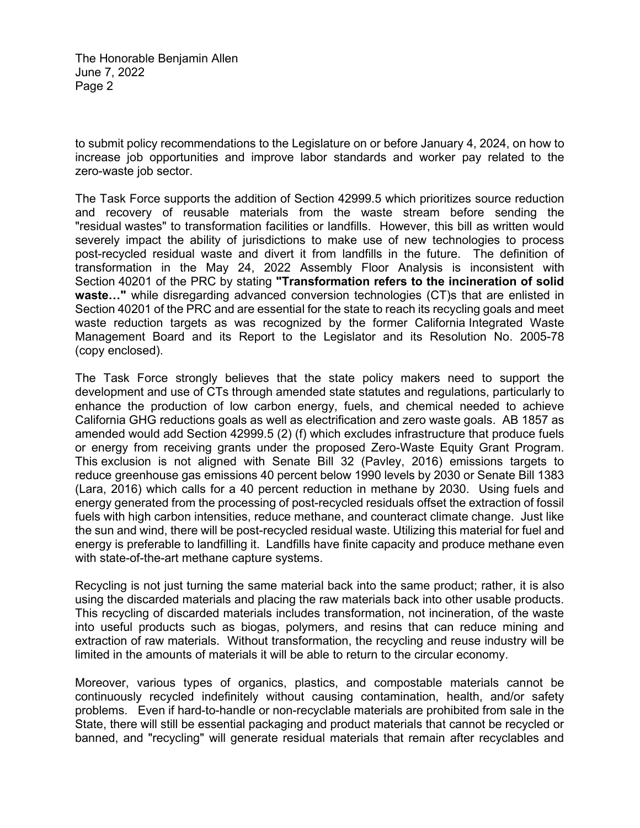The Honorable Benjamin Allen June 7, 2022 Page 2

to submit policy recommendations to the Legislature on or before January 4, 2024, on how to increase job opportunities and improve labor standards and worker pay related to the zero-waste job sector.

The Task Force supports the addition of Section 42999.5 which prioritizes source reduction and recovery of reusable materials from the waste stream before sending the "residual wastes" to transformation facilities or landfills. However, this bill as written would severely impact the ability of jurisdictions to make use of new technologies to process post-recycled residual waste and divert it from landfills in the future. The definition of transformation in the May 24, 2022 Assembly Floor Analysis is inconsistent with Section 40201 of the PRC by stating **"Transformation refers to the incineration of solid waste…"** while disregarding advanced conversion technologies (CT)s that are enlisted in Section 40201 of the PRC and are essential for the state to reach its recycling goals and meet waste reduction targets as was recognized by the former California Integrated Waste Management Board and its Report to the Legislator and its Resolution No. 2005-78 (copy enclosed).

The Task Force strongly believes that the state policy makers need to support the development and use of CTs through amended state statutes and regulations, particularly to enhance the production of low carbon energy, fuels, and chemical needed to achieve California GHG reductions goals as well as electrification and zero waste goals. AB 1857 as amended would add Section 42999.5 (2) (f) which excludes infrastructure that produce fuels or energy from receiving grants under the proposed Zero-Waste Equity Grant Program. This exclusion is not aligned with Senate Bill 32 (Pavley, 2016) emissions targets to reduce greenhouse gas emissions 40 percent below 1990 levels by 2030 or Senate Bill 1383 (Lara, 2016) which calls for a 40 percent reduction in methane by 2030. Using fuels and energy generated from the processing of post-recycled residuals offset the extraction of fossil fuels with high carbon intensities, reduce methane, and counteract climate change. Just like the sun and wind, there will be post-recycled residual waste. Utilizing this material for fuel and energy is preferable to landfilling it. Landfills have finite capacity and produce methane even with state-of-the-art methane capture systems.

Recycling is not just turning the same material back into the same product; rather, it is also using the discarded materials and placing the raw materials back into other usable products. This recycling of discarded materials includes transformation, not incineration, of the waste into useful products such as biogas, polymers, and resins that can reduce mining and extraction of raw materials. Without transformation, the recycling and reuse industry will be limited in the amounts of materials it will be able to return to the circular economy.

Moreover, various types of organics, plastics, and compostable materials cannot be continuously recycled indefinitely without causing contamination, health, and/or safety problems. Even if hard-to-handle or non-recyclable materials are prohibited from sale in the State, there will still be essential packaging and product materials that cannot be recycled or banned, and "recycling" will generate residual materials that remain after recyclables and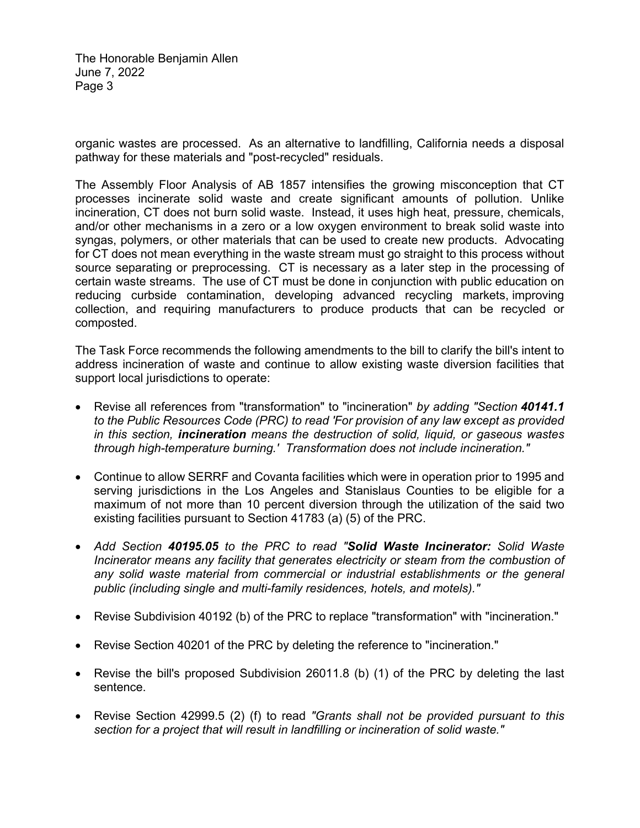The Honorable Benjamin Allen June 7, 2022 Page 3

organic wastes are processed. As an alternative to landfilling, California needs a disposal pathway for these materials and "post-recycled" residuals.

The Assembly Floor Analysis of AB 1857 intensifies the growing misconception that CT processes incinerate solid waste and create significant amounts of pollution. Unlike incineration, CT does not burn solid waste. Instead, it uses high heat, pressure, chemicals, and/or other mechanisms in a zero or a low oxygen environment to break solid waste into syngas, polymers, or other materials that can be used to create new products. Advocating for CT does not mean everything in the waste stream must go straight to this process without source separating or preprocessing. CT is necessary as a later step in the processing of certain waste streams. The use of CT must be done in conjunction with public education on reducing curbside contamination, developing advanced recycling markets, improving collection, and requiring manufacturers to produce products that can be recycled or composted.

The Task Force recommends the following amendments to the bill to clarify the bill's intent to address incineration of waste and continue to allow existing waste diversion facilities that support local jurisdictions to operate:

- Revise all references from "transformation" to "incineration" *by adding "Section 40141.1 to the Public Resources Code (PRC) to read 'For provision of any law except as provided in this section, incineration means the destruction of solid, liquid, or gaseous wastes through high-temperature burning.' Transformation does not include incineration."*
- Continue to allow SERRF and Covanta facilities which were in operation prior to 1995 and serving jurisdictions in the Los Angeles and Stanislaus Counties to be eligible for a maximum of not more than 10 percent diversion through the utilization of the said two existing facilities pursuant to Section 41783 (a) (5) of the PRC.
- *Add Section 40195.05 to the PRC to read "Solid Waste Incinerator: Solid Waste Incinerator means any facility that generates electricity or steam from the combustion of any solid waste material from commercial or industrial establishments or the general public (including single and multi-family residences, hotels, and motels)."*
- Revise Subdivision 40192 (b) of the PRC to replace "transformation" with "incineration."
- Revise Section 40201 of the PRC by deleting the reference to "incineration."
- Revise the bill's proposed Subdivision 26011.8 (b) (1) of the PRC by deleting the last sentence.
- Revise Section 42999.5 (2) (f) to read *"Grants shall not be provided pursuant to this section for a project that will result in landfilling or incineration of solid waste."*